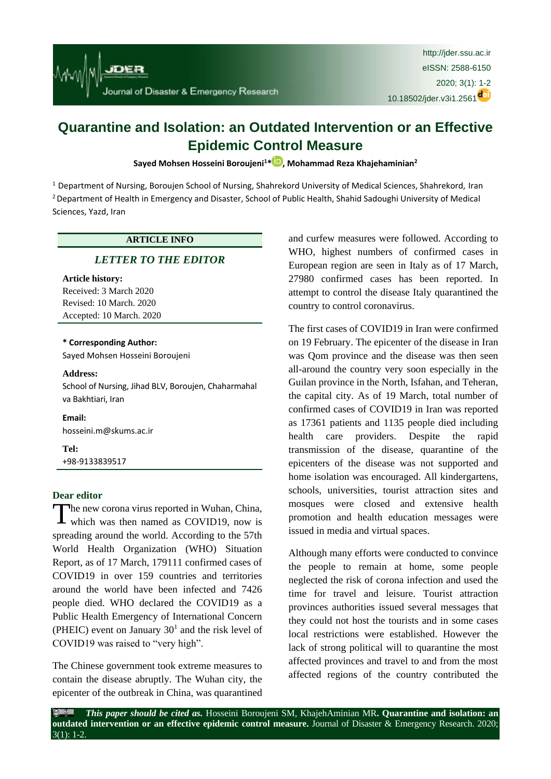

# **Quarantine and Isolation: an Outdated Intervention or an Effective Epidemic Control Measure**

**Sayed Mohsen Hosseini Boroujeni<sup>1</sup>\* , Mohammad Reza Khajehaminian<sup>2</sup>**

 $1$  Department of Nursing, Boroujen School of Nursing, Shahrekord University of Medical Sciences, Shahrekord, Iran <sup>2</sup> Department of Health in Emergency and Disaster, School of Public Health, Shahid Sadoughi University of Medical Sciences, Yazd, Iran

## **ARTICLE INFO**

# *[LETTER TO THE EDITOR](http://jder.ssu.ac.ir/search.php?sid=1&slc_lang=en&atcl=1&type=13)*

#### **Article history:**

Received: 3 March 2020 Revised: 10 March. 2020 Accepted: 10 March. 2020

# **\* Corresponding Author:**

Sayed Mohsen Hosseini Boroujeni

#### **Address:**

School of Nursing, Jihad BLV, Boroujen, Chaharmahal va Bakhtiari, Iran

**Email:**  hosseini.m@skums.ac.ir

**Tel:** +98-9133839517

## **Dear editor**

The new corona virus reported in Wuhan, China, The new corona virus reported in Wuhan, China,<br>which was then named as COVID19, now is spreading around the world. According to the 57th World Health Organization (WHO) Situation Report, as of 17 March, 179111 confirmed cases of COVID19 in over 159 countries and territories around the world have been infected and 7426 people died. WHO declared the COVID19 as a Public Health Emergency of International Concern (PHEIC) event on January  $30<sup>1</sup>$  and the risk level of COVID19 was raised to "very high".

The Chinese government took extreme measures to contain the disease abruptly. The Wuhan city, the epicenter of the outbreak in China, was quarantined and curfew measures were followed. According to WHO, highest numbers of confirmed cases in European region are seen in Italy as of 17 March, 27980 confirmed cases has been reported. In attempt to control the disease Italy quarantined the country to control coronavirus.

The first cases of COVID19 in Iran were confirmed on 19 February. The epicenter of the disease in Iran was Qom province and the disease was then seen all-around the country very soon especially in the Guilan province in the North, Isfahan, and Teheran, the capital city. As of 19 March, total number of confirmed cases of COVID19 in Iran was reported as 17361 patients and 1135 people died including health care providers. Despite the rapid transmission of the disease, quarantine of the epicenters of the disease was not supported and home isolation was encouraged. All kindergartens, schools, universities, tourist attraction sites and mosques were closed and extensive health promotion and health education messages were issued in media and virtual spaces.

Although many efforts were conducted to convince the people to remain at home, some people neglected the risk of corona infection and used the time for travel and leisure. Tourist attraction provinces authorities issued several messages that they could not host the tourists and in some cases local restrictions were established. However the lack of strong political will to quarantine the most affected provinces and travel to and from the most affected regions of the country contributed the